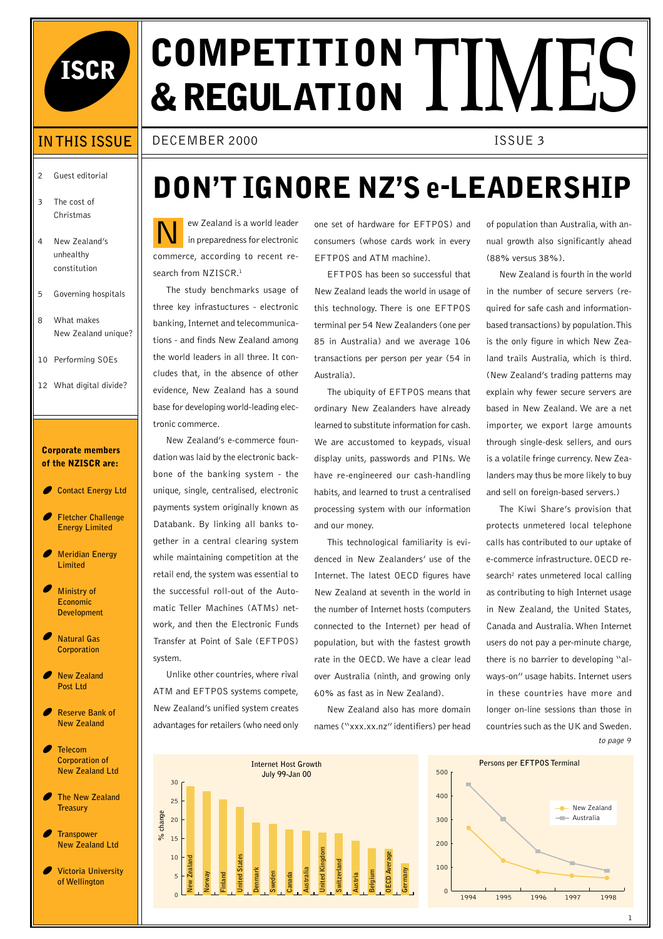

# **ISCR COMPETITI ON & REGULATION TIMES**

DECEMBER 2000 ISSUE 3

### 2 Guest editorial

**IN THIS ISSUE**

- 3 The cost of Christmas
- 4 New Zealand's unhealthy constitution
- 5 Governing hospitals
- 8 What makes New Zealand unique?
- 10 Performing SOEs
- 12 What digital divide?

#### **Corporate members of the NZISCR are:**

- **Contact Energy Ltd**
- **Fletcher Challenge Energy Limited**
- **Meridian Energy Limited**
- **Ministry of Economic Development**
- **Natural Gas Corporation**
- **New Zealand Post Ltd**
- **Reserve Bank of New Zealand**
- **Telecom Corporation of New Zealand Ltd**
- **The New Zealand Treasury**
- **Transpower New Zealand Ltd**
- **Victoria University of Wellington**

### **DON'T IGNORE NZ'S e-LEADERSHIP**

N ew Zealand is a world leader in preparedness for electronic commerce, according to recent research from NZISCR.<sup>1</sup>

The study benchmarks usage of three key infrastuctures - electronic banking, Internet and telecommunications - and finds New Zealand among the world leaders in all three. It concludes that, in the absence of other evidence, New Zealand has a sound base for developing world-leading electronic commerce.

New Zealand's e-commerce foundation was laid by the electronic backbone of the banking system - the unique, single, centralised, electronic payments system originally known as Databank. By linking all banks together in a central clearing system while maintaining competition at the retail end, the system was essential to the successful roll-out of the Automatic Teller Machines (ATMs) network, and then the Electronic Funds Transfer at Point of Sale (EFTPOS) system.

Unlike other countries, where rival ATM and EFTPOS systems compete, New Zealand's unified system creates advantages for retailers (who need only

one set of hardware for EFTPOS) and consumers (whose cards work in every EFTPOS and ATM machine).

EFTPOS has been so successful that New Zealand leads the world in usage of this technology. There is one EFTPOS terminal per 54 New Zealanders (one per 85 in Australia) and we average 106 transactions per person per year (54 in Australia).

The ubiquity of EFTPOS means that ordinary New Zealanders have already learned to substitute information for cash. We are accustomed to keypads, visual display units, passwords and PINs. We have re-engineered our cash-handling habits, and learned to trust a centralised processing system with our information and our money.

This technological familiarity is evidenced in New Zealanders' use of the Internet. The latest OECD figures have New Zealand at seventh in the world in the number of Internet hosts (computers connected to the Internet) per head of population, but with the fastest growth rate in the OECD. We have a clear lead over Australia (ninth, and growing only 60% as fast as in New Zealand).

New Zealand also has more domain names ("xxx.xx.nz" identifiers) per head of population than Australia, with annual growth also significantly ahead (88% versus 38%).

New Zealand is fourth in the world in the number of secure servers (required for safe cash and informationbased transactions) by population. This is the only figure in which New Zealand trails Australia, which is third. (New Zealand's trading patterns may explain why fewer secure servers are based in New Zealand. We are a net importer, we export large amounts through single-desk sellers, and ours is a volatile fringe currency. New Zealanders may thus be more likely to buy and sell on foreign-based servers.)

The Kiwi Share's provision that protects unmetered local telephone calls has contributed to our uptake of e-commerce infrastructure. OECD research<sup>2</sup> rates unmetered local calling as contributing to high Internet usage in New Zealand, the United States, Canada and Australia. When Internet users do not pay a per-minute charge, there is no barrier to developing "always-on" usage habits. Internet users in these countries have more and longer on-line sessions than those in countries such as the UK and Sweden. to page 9



0 100 1994 1995 1996 1997 1998 200 300 400 500 New Zealand **Australia Persons per EFTPOS Terminal**

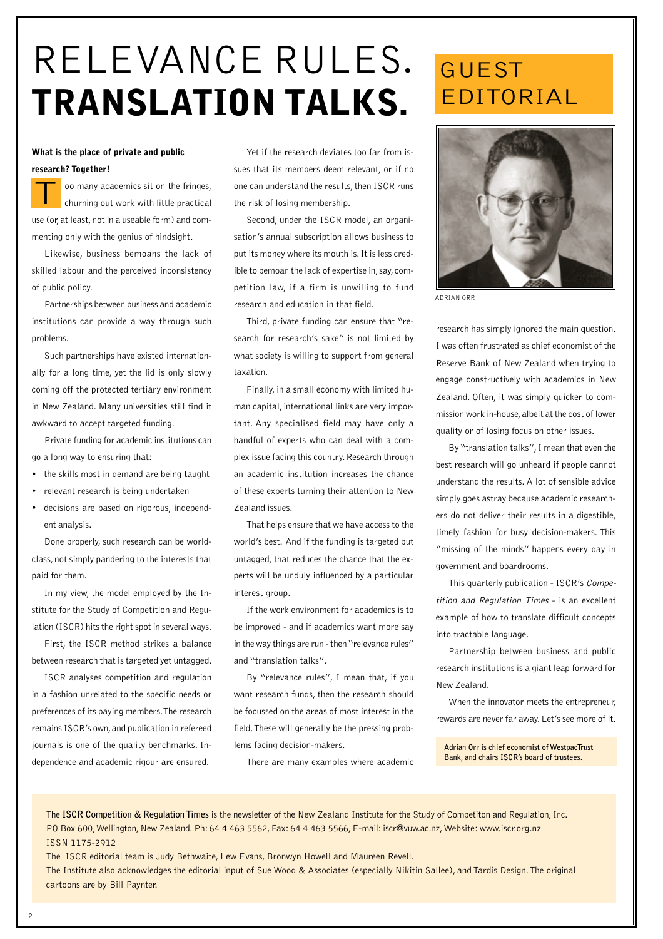# RELEVANCE RULES. **TRANSLATION TALKS.**

#### **What is the place of private and public research? Together!**

oo many academics sit on the fringes, churning out work with little practical use (or, at least, not in a useable form) and commenting only with the genius of hindsight. T

Likewise, business bemoans the lack of skilled labour and the perceived inconsistency of public policy.

Partnerships between business and academic institutions can provide a way through such problems.

Such partnerships have existed internationally for a long time, yet the lid is only slowly coming off the protected tertiary environment in New Zealand. Many universities still find it awkward to accept targeted funding.

Private funding for academic institutions can go a long way to ensuring that:

- the skills most in demand are being taught
- relevant research is being undertaken
- decisions are based on rigorous, independent analysis.

Done properly, such research can be worldclass, not simply pandering to the interests that paid for them.

In my view, the model employed by the Institute for the Study of Competition and Regulation (ISCR) hits the right spot in several ways.

First, the ISCR method strikes a balance between research that is targeted yet untagged.

ISCR analyses competition and regulation in a fashion unrelated to the specific needs or preferences of its paying members. The research remains ISCR's own, and publication in refereed journals is one of the quality benchmarks. Independence and academic rigour are ensured.

Yet if the research deviates too far from issues that its members deem relevant, or if no one can understand the results, then ISCR runs the risk of losing membership.

Second, under the ISCR model, an organisation's annual subscription allows business to put its money where its mouth is. It is less credible to bemoan the lack of expertise in, say, competition law, if a firm is unwilling to fund research and education in that field.

Third, private funding can ensure that "research for research's sake" is not limited by what society is willing to support from general taxation.

Finally, in a small economy with limited human capital, international links are very important. Any specialised field may have only a handful of experts who can deal with a complex issue facing this country. Research through an academic institution increases the chance of these experts turning their attention to New Zealand issues.

That helps ensure that we have access to the world's best. And if the funding is targeted but untagged, that reduces the chance that the experts will be unduly influenced by a particular interest group.

If the work environment for academics is to be improved - and if academics want more say in the way things are run - then "relevance rules" and "translation talks".

By "relevance rules", I mean that, if you want research funds, then the research should be focussed on the areas of most interest in the field. These will generally be the pressing problems facing decision-makers.

There are many examples where academic

### GUEST EDITORIAL



ADRIAN ORR

research has simply ignored the main question. I was often frustrated as chief economist of the Reserve Bank of New Zealand when trying to engage constructively with academics in New Zealand. Often, it was simply quicker to commission work in-house, albeit at the cost of lower quality or of losing focus on other issues.

By "translation talks", I mean that even the best research will go unheard if people cannot understand the results. A lot of sensible advice simply goes astray because academic researchers do not deliver their results in a digestible, timely fashion for busy decision-makers. This "missing of the minds" happens every day in government and boardrooms.

This quarterly publication - ISCR's Competition and Regulation Times - is an excellent example of how to translate difficult concepts into tractable language.

Partnership between business and public research institutions is a giant leap forward for New Zealand.

When the innovator meets the entrepreneur, rewards are never far away. Let's see more of it.

**Adrian Orr is chief economist of WestpacTrust Bank, and chairs ISCR's board of trustees.**

The **ISCR Competition & Regulation Times** is the newsletter of the New Zealand Institute for the Study of Competiton and Regulation, Inc. PO Box 600, Wellington, New Zealand. Ph: 64 4 463 5562, Fax: 64 4 463 5566, E-mail: iscr@vuw.ac.nz, Website: www.iscr.org.nz ISSN 1175-2912

The ISCR editorial team is Judy Bethwaite, Lew Evans, Bronwyn Howell and Maureen Revell.

The Institute also acknowledges the editorial input of Sue Wood & Associates (especially Nikitin Sallee), and Tardis Design. The original cartoons are by Bill Paynter.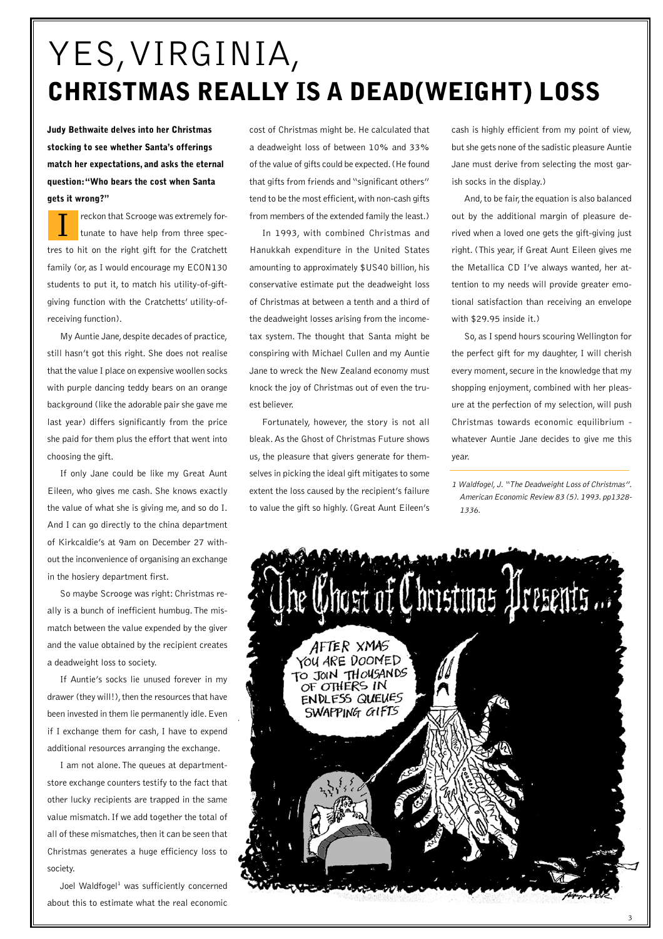## YES, VIRGINIA, **CHRISTMAS REALLY IS A DEAD(WEIGHT) LOSS**

**Judy Bethwaite delves into her Christmas stocking to see whether Santa's offerings match her expectations, and asks the eternal question: "Who bears the cost when Santa gets it wrong?"**

reckon that Scrooge was extremely fortunate to have help from three spectres to hit on the right gift for the Cratchett family (or, as I would encourage my ECON130 students to put it, to match his utility-of-giftgiving function with the Cratchetts' utility-ofreceiving function). I

My Auntie Jane, despite decades of practice, still hasn't got this right. She does not realise that the value I place on expensive woollen socks with purple dancing teddy bears on an orange background (like the adorable pair she gave me last year) differs significantly from the price she paid for them plus the effort that went into choosing the gift.

If only Jane could be like my Great Aunt Eileen, who gives me cash. She knows exactly the value of what she is giving me, and so do I. And I can go directly to the china department of Kirkcaldie's at 9am on December 27 without the inconvenience of organising an exchange in the hosiery department first.

So maybe Scrooge was right: Christmas really is a bunch of inefficient humbug. The mismatch between the value expended by the giver and the value obtained by the recipient creates a deadweight loss to society.

If Auntie's socks lie unused forever in my drawer (they will!), then the resources that have been invested in them lie permanently idle. Even if I exchange them for cash, I have to expend additional resources arranging the exchange.

I am not alone. The queues at departmentstore exchange counters testify to the fact that other lucky recipients are trapped in the same value mismatch. If we add together the total of all of these mismatches, then it can be seen that Christmas generates a huge efficiency loss to society.

Joel Waldfogel<sup>1</sup> was sufficiently concerned about this to estimate what the real economic cost of Christmas might be. He calculated that a deadweight loss of between 10% and 33% of the value of gifts could be expected. (He found that gifts from friends and "significant others" tend to be the most efficient, with non-cash gifts from members of the extended family the least.)

In 1993, with combined Christmas and Hanukkah expenditure in the United States amounting to approximately \$US40 billion, his conservative estimate put the deadweight loss of Christmas at between a tenth and a third of the deadweight losses arising from the incometax system. The thought that Santa might be conspiring with Michael Cullen and my Auntie Jane to wreck the New Zealand economy must knock the joy of Christmas out of even the truest believer.

Fortunately, however, the story is not all bleak. As the Ghost of Christmas Future shows us, the pleasure that givers generate for themselves in picking the ideal gift mitigates to some extent the loss caused by the recipient's failure to value the gift so highly. (Great Aunt Eileen's cash is highly efficient from my point of view, but she gets none of the sadistic pleasure Auntie Jane must derive from selecting the most garish socks in the display.)

And, to be fair, the equation is also balanced out by the additional margin of pleasure derived when a loved one gets the gift-giving just right. (This year, if Great Aunt Eileen gives me the Metallica CD I've always wanted, her attention to my needs will provide greater emotional satisfaction than receiving an envelope with \$29.95 inside it.)

So, as I spend hours scouring Wellington for the perfect gift for my daughter, I will cherish every moment, secure in the knowledge that my shopping enjoyment, combined with her pleasure at the perfection of my selection, will push Christmas towards economic equilibrium whatever Auntie Jane decides to give me this year.

1 Waldfogel, J. "The Deadweight Loss of Christmas". American Economic Review 83 (5). 1993. pp1328- 1336.

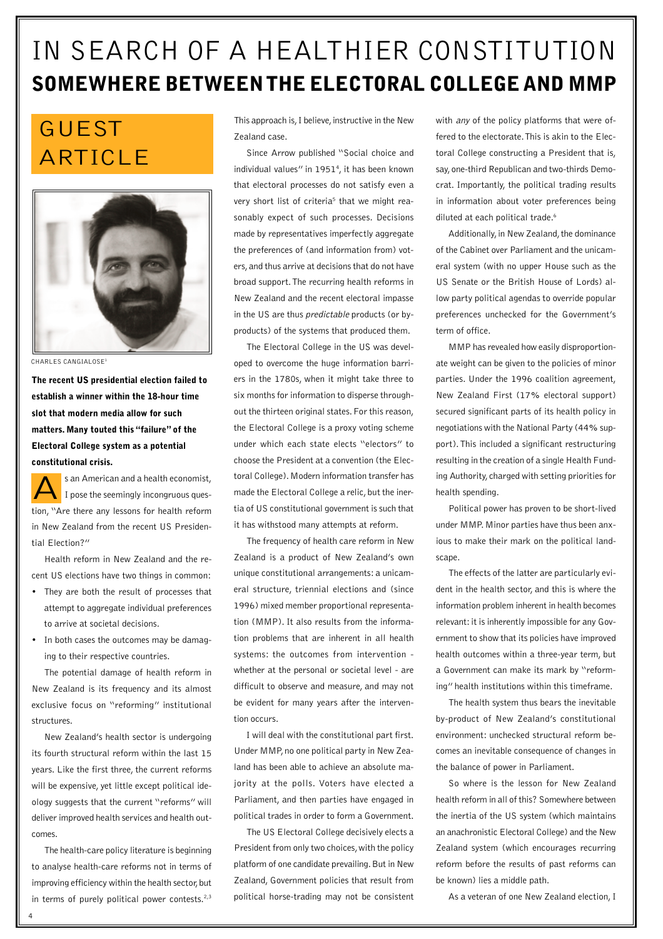### IN SEARCH OF A HEALTHIER CONSTITUTION **SOMEWHERE BETWEEN THE ELECTORAL COLLEGE AND MMP**

### GUEST ARTICLE



CHARLES CANGIALOSE<sup>1</sup>

**The recent US presidential election failed to establish a winner within the 18-hour time slot that modern media allow for such matters. Many touted this "failure" of the Electoral College system as a potential constitutional crisis.**

s an American and a health economist, I pose the seemingly incongruous question, "Are there any lessons for health reform in New Zealand from the recent US Presidential Election?" A

Health reform in New Zealand and the recent US elections have two things in common:

- They are both the result of processes that attempt to aggregate individual preferences to arrive at societal decisions.
- In both cases the outcomes may be damaging to their respective countries.

The potential damage of health reform in New Zealand is its frequency and its almost exclusive focus on "reforming" institutional structures.

New Zealand's health sector is undergoing its fourth structural reform within the last 15 years. Like the first three, the current reforms will be expensive, yet little except political ideology suggests that the current "reforms" will deliver improved health services and health outcomes.

The health-care policy literature is beginning to analyse health-care reforms not in terms of improving efficiency within the health sector, but in terms of purely political power contests. $2,3$  This approach is, I believe, instructive in the New Zealand case.

Since Arrow published "Social choice and individual values" in 1951<sup>4</sup>, it has been known that electoral processes do not satisfy even a very short list of criteria<sup>5</sup> that we might reasonably expect of such processes. Decisions made by representatives imperfectly aggregate the preferences of (and information from) voters, and thus arrive at decisions that do not have broad support. The recurring health reforms in New Zealand and the recent electoral impasse in the US are thus predictable products (or byproducts) of the systems that produced them.

The Electoral College in the US was developed to overcome the huge information barriers in the 1780s, when it might take three to six months for information to disperse throughout the thirteen original states. For this reason, the Electoral College is a proxy voting scheme under which each state elects "electors" to choose the President at a convention (the Electoral College). Modern information transfer has made the Electoral College a relic, but the inertia of US constitutional government is such that it has withstood many attempts at reform.

The frequency of health care reform in New Zealand is a product of New Zealand's own unique constitutional arrangements: a unicameral structure, triennial elections and (since 1996) mixed member proportional representation (MMP). It also results from the information problems that are inherent in all health systems: the outcomes from intervention whether at the personal or societal level - are difficult to observe and measure, and may not be evident for many years after the intervention occurs.

I will deal with the constitutional part first. Under MMP, no one political party in New Zealand has been able to achieve an absolute majority at the polls. Voters have elected a Parliament, and then parties have engaged in political trades in order to form a Government.

The US Electoral College decisively elects a President from only two choices, with the policy platform of one candidate prevailing. But in New Zealand, Government policies that result from political horse-trading may not be consistent with *any* of the policy platforms that were offered to the electorate. This is akin to the Electoral College constructing a President that is, say, one-third Republican and two-thirds Democrat. Importantly, the political trading results in information about voter preferences being diluted at each political trade.<sup>6</sup>

Additionally, in New Zealand, the dominance of the Cabinet over Parliament and the unicameral system (with no upper House such as the US Senate or the British House of Lords) allow party political agendas to override popular preferences unchecked for the Government's term of office.

MMP has revealed how easily disproportionate weight can be given to the policies of minor parties. Under the 1996 coalition agreement, New Zealand First (17% electoral support) secured significant parts of its health policy in negotiations with the National Party (44% support). This included a significant restructuring resulting in the creation of a single Health Funding Authority, charged with setting priorities for health spending.

Political power has proven to be short-lived under MMP. Minor parties have thus been anxious to make their mark on the political landscape.

The effects of the latter are particularly evident in the health sector, and this is where the information problem inherent in health becomes relevant: it is inherently impossible for any Government to show that its policies have improved health outcomes within a three-year term, but a Government can make its mark by "reforming" health institutions within this timeframe.

The health system thus bears the inevitable by-product of New Zealand's constitutional environment: unchecked structural reform becomes an inevitable consequence of changes in the balance of power in Parliament.

So where is the lesson for New Zealand health reform in all of this? Somewhere between the inertia of the US system (which maintains an anachronistic Electoral College) and the New Zealand system (which encourages recurring reform before the results of past reforms can be known) lies a middle path.

As a veteran of one New Zealand election, I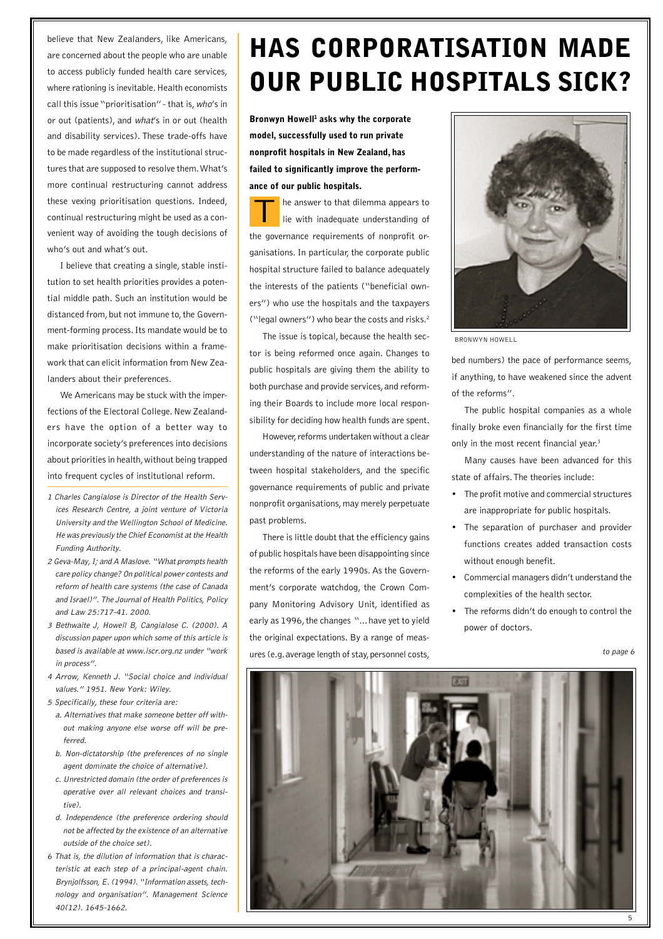believe that New Zealanders, like Americans, are concerned about the people who are unable to access publicly funded health care services, where rationing is inevitable. Health economists call this issue "prioritisation" - that is, who's in or out (patients), and what's in or out (health and disability services). These trade-offs have to be made regardless of the institutional structures that are supposed to resolve them. What's more continual restructuring cannot address these vexing prioritisation questions. Indeed, continual restructuring might be used as a convenient way of avoiding the tough decisions of who's out and what's out.

I believe that creating a single, stable institution to set health priorities provides a potential middle path. Such an institution would be distanced from, but not immune to, the Government-forming process. Its mandate would be to make prioritisation decisions within a framework that can elicit information from New Zealanders about their preferences.

We Americans may be stuck with the imperfections of the Electoral College. New Zealanders have the option of a better way to incorporate society's preferences into decisions about priorities in health, without being trapped into frequent cycles of institutional reform.

- 1 Charles Cangialose is Director of the Health Services Research Centre, a joint venture of Victoria University and the Wellington School of Medicine. He was previously the Chief Economist at the Health Funding Authority.
- 2 Geva-May, I; and A Maslove. "What prompts health care policy change? On political power contests and reform of health care systems (the case of Canada and Israel)". The Journal of Health Politics, Policy and Law 25:717-41. 2000.
- 3 Bethwaite J, Howell B, Cangialose C. (2000). A discussion paper upon which some of this article is based is available at www.iscr.org.nz under "work in process".
- 4 Arrow, Kenneth J. "Social choice and individual values." 1951. New York: Wiley.

5 Specifically, these four criteria are:

- a. Alternatives that make someone better off without making anyone else worse off will be preferred.
- b. Non-dictatorship (the preferences of no single agent dominate the choice of alternative).
- c. Unrestricted domain (the order of preferences is operative over all relevant choices and transitive).
- d. Independence (the preference ordering should not be affected by the existence of an alternative outside of the choice set).
- 6 That is, the dilution of information that is characteristic at each step of a principal-agent chain. Brynjolfsson, E. (1994). "Information assets, technology and organisation". Management Science 40(12). 1645-1662.

## **HAS CORPORATISATION MADE OUR PUBLIC HOSPITALS SICK?**

**Bronwyn Howell<sup>1</sup> asks why the corporate model, successfully used to run private nonprofit hospitals in New Zealand, has failed to significantly improve the performance of our public hospitals.**

he answer to that dilemma appears to lie with inadequate understanding of the governance requirements of nonprofit organisations. In particular, the corporate public hospital structure failed to balance adequately the interests of the patients ("beneficial owners") who use the hospitals and the taxpayers ("legal owners") who bear the costs and risks.2 T

The issue is topical, because the health sector is being reformed once again. Changes to public hospitals are giving them the ability to both purchase and provide services, and reforming their Boards to include more local responsibility for deciding how health funds are spent.

However, reforms undertaken without a clear understanding of the nature of interactions between hospital stakeholders, and the specific governance requirements of public and private nonprofit organisations, may merely perpetuate past problems.

There is little doubt that the efficiency gains of public hospitals have been disappointing since the reforms of the early 1990s. As the Government's corporate watchdog, the Crown Company Monitoring Advisory Unit, identified as early as 1996, the changes "... have yet to yield the original expectations. By a range of measures (e.g. average length of stay, personnel costs,



BRONWYN HOWELL

bed numbers) the pace of performance seems, if anything, to have weakened since the advent of the reforms".

The public hospital companies as a whole finally broke even financially for the first time only in the most recent financial year.<sup>3</sup>

Many causes have been advanced for this state of affairs. The theories include:

- The profit motive and commercial structures are inappropriate for public hospitals.
- The separation of purchaser and provider functions creates added transaction costs without enough benefit.
- Commercial managers didn't understand the complexities of the health sector.
- The reforms didn't do enough to control the power of doctors.

to page 6

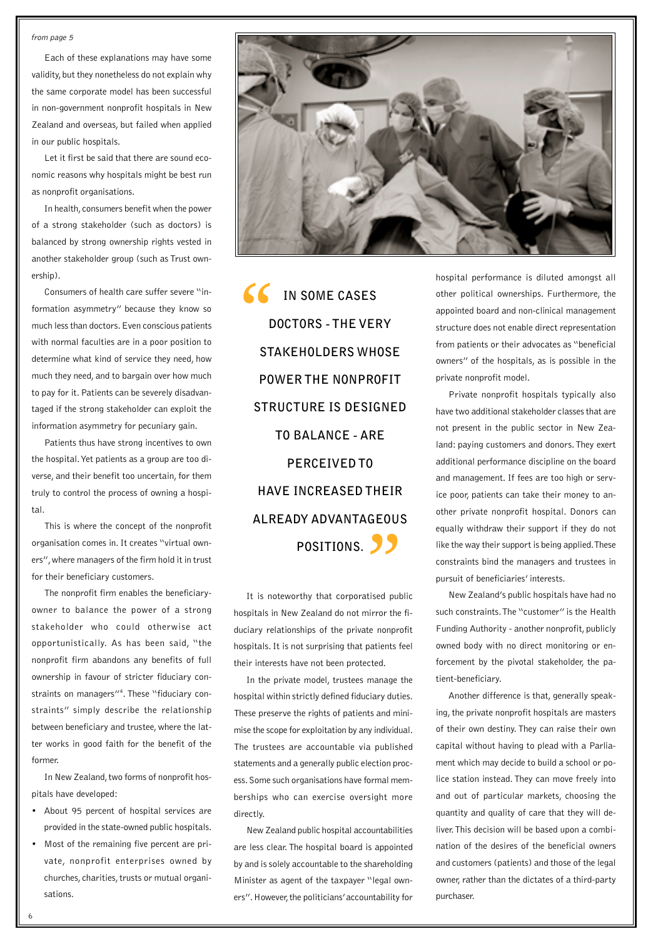#### from page 5

Each of these explanations may have some validity, but they nonetheless do not explain why the same corporate model has been successful in non-government nonprofit hospitals in New Zealand and overseas, but failed when applied in our public hospitals.

Let it first be said that there are sound economic reasons why hospitals might be best run as nonprofit organisations.

In health, consumers benefit when the power of a strong stakeholder (such as doctors) is balanced by strong ownership rights vested in another stakeholder group (such as Trust ownership).

Consumers of health care suffer severe "information asymmetry" because they know so much less than doctors. Even conscious patients with normal faculties are in a poor position to determine what kind of service they need, how much they need, and to bargain over how much to pay for it. Patients can be severely disadvantaged if the strong stakeholder can exploit the information asymmetry for pecuniary gain.

Patients thus have strong incentives to own the hospital. Yet patients as a group are too diverse, and their benefit too uncertain, for them truly to control the process of owning a hospital.

This is where the concept of the nonprofit organisation comes in. It creates "virtual owners", where managers of the firm hold it in trust for their beneficiary customers.

The nonprofit firm enables the beneficiaryowner to balance the power of a strong stakeholder who could otherwise act opportunistically. As has been said, "the nonprofit firm abandons any benefits of full ownership in favour of stricter fiduciary constraints on managers"<sup>4</sup>. These "fiduciary constraints" simply describe the relationship between beneficiary and trustee, where the latter works in good faith for the benefit of the former.

In New Zealand, two forms of nonprofit hospitals have developed:

- About 95 percent of hospital services are provided in the state-owned public hospitals.
- Most of the remaining five percent are private, nonprofit enterprises owned by churches, charities, trusts or mutual organisations.



**IN SOME CASES DOCTORS - THE VERY STAKEHOLDERS WHOSE POWER THE NONPROFIT STRUCTURE IS DESIGNED TO BALANCE - ARE PERCEIVED TO HAVE INCREASED THEIR ALREADY ADVANTAGEOUS POSITIONS.** 99<br>atised publ  $\frac{66}{P}$ 

It is noteworthy that corporatised public hospitals in New Zealand do not mirror the fiduciary relationships of the private nonprofit hospitals. It is not surprising that patients feel their interests have not been protected.

In the private model, trustees manage the hospital within strictly defined fiduciary duties. These preserve the rights of patients and minimise the scope for exploitation by any individual. The trustees are accountable via published statements and a generally public election process. Some such organisations have formal memberships who can exercise oversight more directly.

New Zealand public hospital accountabilities are less clear. The hospital board is appointed by and is solely accountable to the shareholding Minister as agent of the taxpayer "legal owners". However, the politicians' accountability for

hospital performance is diluted amongst all other political ownerships. Furthermore, the appointed board and non-clinical management structure does not enable direct representation from patients or their advocates as "beneficial owners" of the hospitals, as is possible in the private nonprofit model.

Private nonprofit hospitals typically also have two additional stakeholder classes that are not present in the public sector in New Zealand: paying customers and donors. They exert additional performance discipline on the board and management. If fees are too high or service poor, patients can take their money to another private nonprofit hospital. Donors can equally withdraw their support if they do not like the way their support is being applied. These constraints bind the managers and trustees in pursuit of beneficiaries' interests.

New Zealand's public hospitals have had no such constraints. The "customer" is the Health Funding Authority - another nonprofit, publicly owned body with no direct monitoring or enforcement by the pivotal stakeholder, the patient-beneficiary.

Another difference is that, generally speaking, the private nonprofit hospitals are masters of their own destiny. They can raise their own capital without having to plead with a Parliament which may decide to build a school or police station instead. They can move freely into and out of particular markets, choosing the quantity and quality of care that they will deliver. This decision will be based upon a combination of the desires of the beneficial owners and customers (patients) and those of the legal owner, rather than the dictates of a third-party purchaser.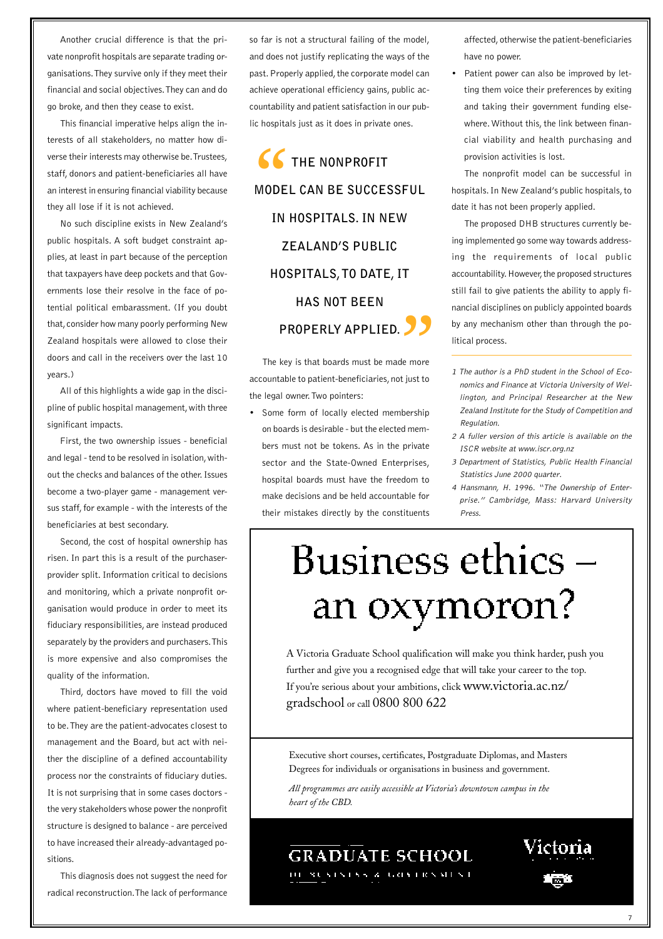Another crucial difference is that the private nonprofit hospitals are separate trading organisations. They survive only if they meet their financial and social objectives. They can and do go broke, and then they cease to exist.

This financial imperative helps align the interests of all stakeholders, no matter how diverse their interests may otherwise be. Trustees, staff, donors and patient-beneficiaries all have an interest in ensuring financial viability because they all lose if it is not achieved.

No such discipline exists in New Zealand's public hospitals. A soft budget constraint applies, at least in part because of the perception that taxpayers have deep pockets and that Governments lose their resolve in the face of potential political embarassment. (If you doubt that, consider how many poorly performing New Zealand hospitals were allowed to close their doors and call in the receivers over the last 10 years.)

All of this highlights a wide gap in the discipline of public hospital management, with three significant impacts.

First, the two ownership issues - beneficial and legal - tend to be resolved in isolation, without the checks and balances of the other. Issues become a two-player game - management versus staff, for example - with the interests of the beneficiaries at best secondary.

Second, the cost of hospital ownership has risen. In part this is a result of the purchaserprovider split. Information critical to decisions and monitoring, which a private nonprofit organisation would produce in order to meet its fiduciary responsibilities, are instead produced separately by the providers and purchasers. This is more expensive and also compromises the quality of the information.

Third, doctors have moved to fill the void where patient-beneficiary representation used to be. They are the patient-advocates closest to management and the Board, but act with neither the discipline of a defined accountability process nor the constraints of fiduciary duties. It is not surprising that in some cases doctors the very stakeholders whose power the nonprofit structure is designed to balance - are perceived to have increased their already-advantaged positions.

This diagnosis does not suggest the need for radical reconstruction. The lack of performance

so far is not a structural failing of the model, and does not justify replicating the ways of the past. Properly applied, the corporate model can achieve operational efficiency gains, public accountability and patient satisfaction in our public hospitals just as it does in private ones.

**THE NONPROFIT MODEL CAN BE SUCCESSFUL IN HOSPITALS. IN NEW ZEALAND'S PUBLIC HOSPITALS, TO DATE, IT HAS NOT BEEN PROPERLY APPLIED. 99**<br>de more<br>ot just to SS<br>
MODEL

The key is that boards must be made more accountable to patient-beneficiaries, not just to the legal owner. Two pointers:

• Some form of locally elected membership on boards is desirable - but the elected members must not be tokens. As in the private sector and the State-Owned Enterprises, hospital boards must have the freedom to make decisions and be held accountable for their mistakes directly by the constituents affected, otherwise the patient-beneficiaries have no power.

• Patient power can also be improved by letting them voice their preferences by exiting and taking their government funding elsewhere. Without this, the link between financial viability and health purchasing and provision activities is lost.

The nonprofit model can be successful in hospitals. In New Zealand's public hospitals, to date it has not been properly applied.

The proposed DHB structures currently being implemented go some way towards addressing the requirements of local public accountability. However, the proposed structures still fail to give patients the ability to apply financial disciplines on publicly appointed boards by any mechanism other than through the political process.

- 1 The author is a PhD student in the School of Economics and Finance at Victoria University of Wellington, and Principal Researcher at the New Zealand Institute for the Study of Competition and Regulation.
- 2 A fuller version of this article is available on the ISCR website at www.iscr.org.nz
- 3 Department of Statistics, Public Health Financial Statistics June 2000 quarter.
- 4 Hansmann, H. 1996. "The Ownership of Enterprise." Cambridge, Mass: Harvard University Press.

# Business ethics – an oxymoron?

A Victoria Graduate School qualification will make you think harder, push you further and give you a recognised edge that will take your career to the top. If you're serious about your ambitions, click www.victoria.ac.nz/ gradschool or call 0800 800 622

Executive short courses, certificates, Postgraduate Diplomas, and Masters Degrees for individuals or organisations in business and government.

*All programmes are easily accessible at Victoria's downtown campus in the heart of the CBD.*

### **GRADUATE SCHOOL**

10. SUSTSTS & GOVTRNMENT

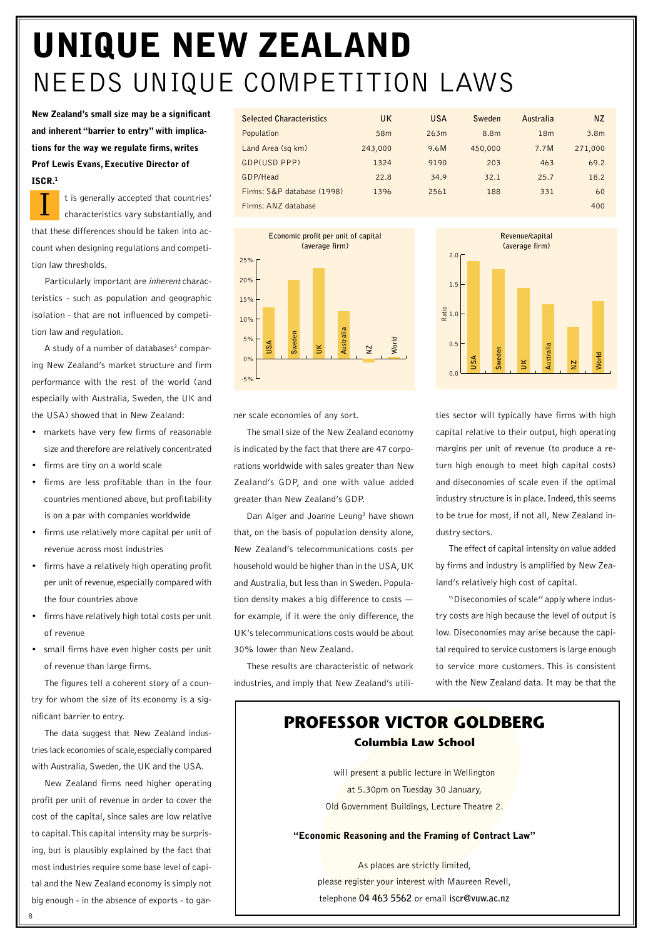## **UNIQUE NEW ZEALAND** NEEDS UNIQUE COMPETITION LAWS

**New Zealand's small size may be a significant and inherent "barrier to entry" with implications for the way we regulate firms, writes Prof Lewis Evans, Executive Director of ISCR.1**

t is generally accepted that countries' characteristics vary substantially, and that these differences should be taken into account when designing regulations and competition law thresholds.  $\overline{I}$ 

Particularly important are inherent characteristics - such as population and geographic isolation - that are not influenced by competition law and regulation.

A study of a number of databases<sup>2</sup> comparing New Zealand's market structure and firm performance with the rest of the world (and especially with Australia, Sweden, the UK and the USA) showed that in New Zealand:

- markets have very few firms of reasonable size and therefore are relatively concentrated
- firms are tiny on a world scale
- firms are less profitable than in the four countries mentioned above, but profitability is on a par with companies worldwide
- firms use relatively more capital per unit of revenue across most industries
- firms have a relatively high operating profit per unit of revenue, especially compared with the four countries above
- firms have relatively high total costs per unit of revenue
- small firms have even higher costs per unit of revenue than large firms.

The figures tell a coherent story of a country for whom the size of its economy is a significant barrier to entry.

The data suggest that New Zealand industries lack economies of scale, especially compared with Australia, Sweden, the UK and the USA.

New Zealand firms need higher operating profit per unit of revenue in order to cover the cost of the capital, since sales are low relative to capital. This capital intensity may be surprising, but is plausibly explained by the fact that most industries require some base level of capital and the New Zealand economy is simply not big enough - in the absence of exports - to gar-

| <b>Selected Characteristics</b> | UK              | <b>USA</b> | Sweden  | Australia       | <b>NZ</b>        |
|---------------------------------|-----------------|------------|---------|-----------------|------------------|
| Population                      | 58 <sub>m</sub> | 263m       | 8.8m    | 18 <sub>m</sub> | 3.8 <sub>m</sub> |
| Land Area (sq km)               | 243,000         | 9.6M       | 450,000 | 7.7M            | 271,000          |
| GDP(USD PPP)                    | 1324            | 9190       | 203     | 463             | 69.2             |
| GDP/Head                        | 22.8            | 34.9       | 32.1    | 25.7            | 18.2             |
| Firms: S&P database (1998)      | 1396            | 2561       | 188     | 331             | 60               |
| Firms: ANZ database             |                 |            |         |                 | 400              |
|                                 |                 |            |         |                 |                  |



ner scale economies of any sort.

The small size of the New Zealand economy is indicated by the fact that there are 47 corporations worldwide with sales greater than New Zealand's GDP, and one with value added greater than New Zealand's GDP.

Dan Alger and Joanne Leung<sup>3</sup> have shown that, on the basis of population density alone, New Zealand's telecommunications costs per household would be higher than in the USA, UK and Australia, but less than in Sweden. Population density makes a big difference to costs for example, if it were the only difference, the UK's telecommunications costs would be about 30% lower than New Zealand.

These results are characteristic of network industries, and imply that New Zealand's utili-



ties sector will typically have firms with high capital relative to their output, high operating margins per unit of revenue (to produce a return high enough to meet high capital costs) and diseconomies of scale even if the optimal industry structure is in place. Indeed, this seems to be true for most, if not all, New Zealand industry sectors.

The effect of capital intensity on value added by firms and industry is amplified by New Zealand's relatively high cost of capital.

"Diseconomies of scale" apply where industry costs are high because the level of output is low. Diseconomies may arise because the capital required to service customers is large enough to service more customers. This is consistent with the New Zealand data. It may be that the

### **PROFESSOR VICTOR GOLDBERG Columbia Law School**

will present a public lecture in Wellington at 5.30pm on Tuesday 30 January, Old Government Buildings, Lecture Theatre 2.

**"Economic Reasoning and the Framing of Contract Law"**

As places are strictly limited, please register your interest with Maureen Revell, telephone **04 463 5562** or email **iscr@vuw.ac.nz**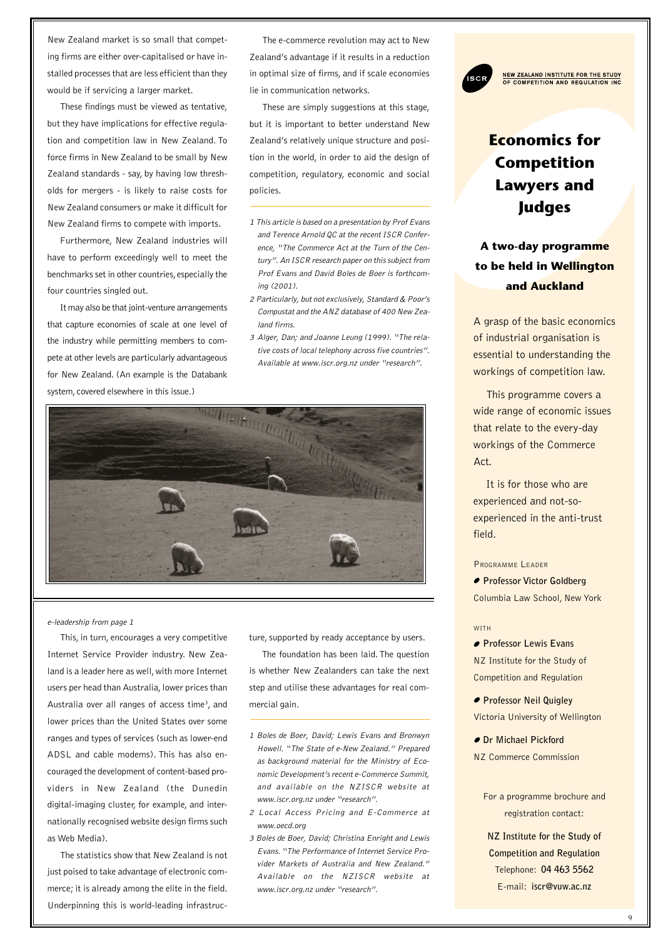New Zealand market is so small that competing firms are either over-capitalised or have installed processes that are less efficient than they would be if servicing a larger market.

These findings must be viewed as tentative, but they have implications for effective regulation and competition law in New Zealand. To force firms in New Zealand to be small by New Zealand standards - say, by having low thresholds for mergers - is likely to raise costs for New Zealand consumers or make it difficult for New Zealand firms to compete with imports.

Furthermore, New Zealand industries will have to perform exceedingly well to meet the benchmarks set in other countries, especially the four countries singled out.

It may also be that joint-venture arrangements that capture economies of scale at one level of the industry while permitting members to compete at other levels are particularly advantageous for New Zealand. (An example is the Databank system, covered elsewhere in this issue.)

The e-commerce revolution may act to New Zealand's advantage if it results in a reduction in optimal size of firms, and if scale economies lie in communication networks.

These are simply suggestions at this stage, but it is important to better understand New Zealand's relatively unique structure and position in the world, in order to aid the design of competition, regulatory, economic and social policies.

- 1 This article is based on a presentation by Prof Evans and Terence Arnold QC at the recent ISCR Conference, "The Commerce Act at the Turn of the Century". An ISCR research paper on this subject from Prof Evans and David Boles de Boer is forthcoming (2001).
- 2 Particularly, but not exclusively, Standard & Poor's Compustat and the ANZ database of 400 New Zealand firms.
- 3 Alger, Dan; and Joanne Leung (1999). "The relative costs of local telephony across five countries". Available at www.iscr.org.nz under "research".



e-leadership from page 1

This, in turn, encourages a very competitive Internet Service Provider industry. New Zealand is a leader here as well, with more Internet users per head than Australia, lower prices than Australia over all ranges of access time<sup>3</sup>, and lower prices than the United States over some ranges and types of services (such as lower-end ADSL and cable modems). This has also encouraged the development of content-based providers in New Zealand (the Dunedin digital-imaging cluster, for example, and internationally recognised website design firms such as Web Media).

The statistics show that New Zealand is not just poised to take advantage of electronic commerce; it is already among the elite in the field. Underpinning this is world-leading infrastructure, supported by ready acceptance by users.

The foundation has been laid. The question is whether New Zealanders can take the next step and utilise these advantages for real commercial gain.

- 1 Boles de Boer, David; Lewis Evans and Bronwyn Howell. "The State of e-New Zealand." Prepared as background material for the Ministry of Economic Development's recent e-Commerce Summit, and available on the NZISCR website at www.iscr.org.nz under "research".
- 2 Local Access Pricing and E-Commerce at www.oecd.org
- 3 Boles de Boer, David; Christina Enright and Lewis Evans. "The Performance of Internet Service Provider Markets of Australia and New Zealand." Available on the NZISCR website at www.iscr.org.nz under "research".



NEW ZEALAND INSTITUTE FOR THE STUDY<br>OF COMPETITION AND REGULATION INC

**A two-day programme to be held in Wellington and Auckland**

A grasp of the basic economics of industrial organisation is essential to understanding the workings of competition law.

This programme covers a wide range of economic issues that relate to the every-day workings of the Commerce Act.

It is for those who are experienced and not-soexperienced in the anti-trust field.

PROGRAMME LEADER

**Professor Victor Goldberg** Columbia Law School, New York

#### **WITH**

*Professor Lewis Evans* NZ Institute for the Study of Competition and Regulation

**Professor Neil Quigley** Victoria University of Wellington

**Dr Michael Pickford** NZ Commerce Commission

> For a programme brochure and registration contact:

**NZ Institute for the Study of Competition and Regulation** Telephone: **04 463 5562** E-mail: **iscr@vuw.ac.nz**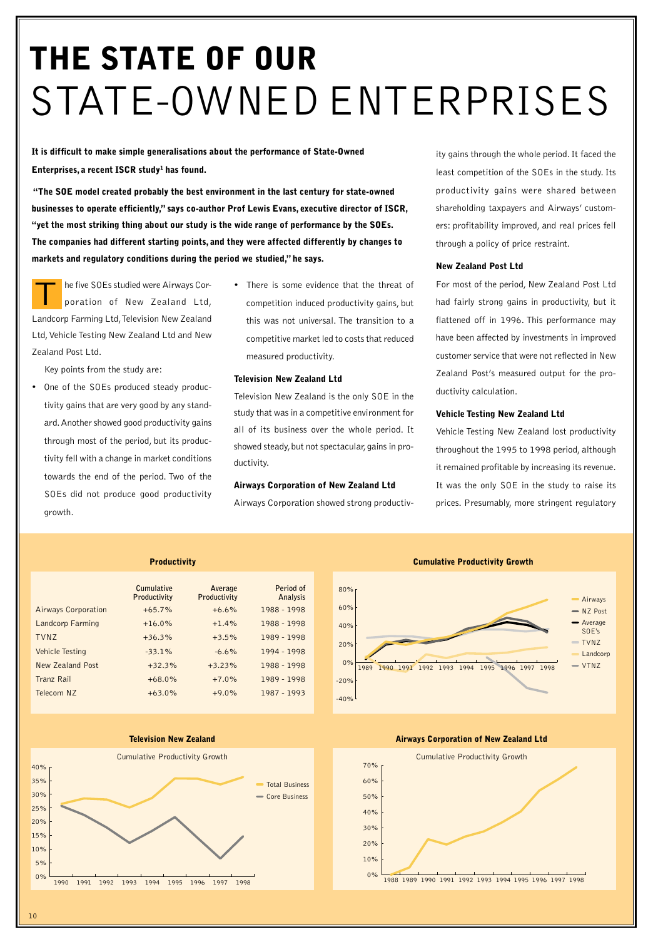## **THE STATE OF OUR** STATE-OWNED ENTERPRISES

**It is difficult to make simple generalisations about the performance of State-Owned Enterprises, a recent ISCR study1 has found.**

 **"The SOE model created probably the best environment in the last century for state-owned businesses to operate efficiently," says co-author Prof Lewis Evans, executive director of ISCR, "yet the most striking thing about our study is the wide range of performance by the SOEs. The companies had different starting points, and they were affected differently by changes to markets and regulatory conditions during the period we studied," he says.**

he five SOEs studied were Airways Corporation of New Zealand Ltd, Landcorp Farming Ltd, Television New Zealand Ltd, Vehicle Testing New Zealand Ltd and New Zealand Post Ltd. T

Key points from the study are:

- One of the SOEs produced steady productivity gains that are very good by any standard. Another showed good productivity gains through most of the period, but its productivity fell with a change in market conditions towards the end of the period. Two of the SOEs did not produce good productivity growth.
- There is some evidence that the threat of competition induced productivity gains, but this was not universal. The transition to a competitive market led to costs that reduced measured productivity.

#### **Television New Zealand Ltd**

Television New Zealand is the only SOE in the study that was in a competitive environment for all of its business over the whole period. It showed steady, but not spectacular, gains in productivity.

#### **Airways Corporation of New Zealand Ltd**

Airways Corporation showed strong productiv-

ity gains through the whole period. It faced the least competition of the SOEs in the study. Its productivity gains were shared between shareholding taxpayers and Airways' customers: profitability improved, and real prices fell through a policy of price restraint.

#### **New Zealand Post Ltd**

For most of the period, New Zealand Post Ltd had fairly strong gains in productivity, but it flattened off in 1996. This performance may have been affected by investments in improved customer service that were not reflected in New Zealand Post's measured output for the productivity calculation.

#### **Vehicle Testing New Zealand Ltd**

Vehicle Testing New Zealand lost productivity throughout the 1995 to 1998 period, although it remained profitable by increasing its revenue. It was the only SOE in the study to raise its prices. Presumably, more stringent regulatory



#### **Television New Zealand**



 $-20%$ 0% <sup>1989</sup> 1990 1991 1992 1993 1994 1995 1996 1997 1998 20% 40% 60% 80% Average SOE's TVNZ  $= VTMZ$ NZ Post Airways Landcorp

**Cumulative Productivity Growth**

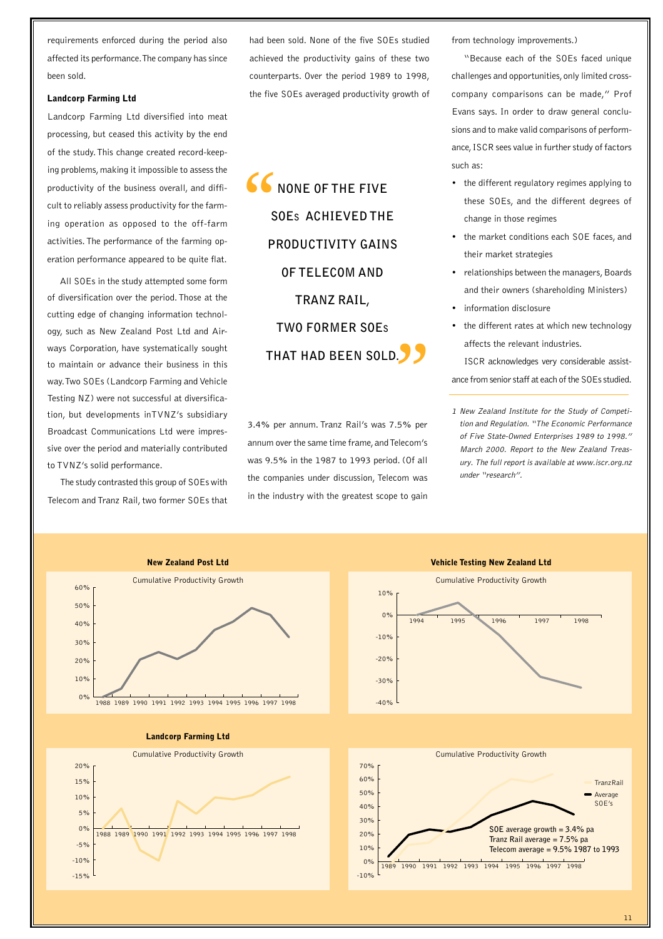requirements enforced during the period also affected its performance. The company has since been sold.

#### **Landcorp Farming Ltd**

Landcorp Farming Ltd diversified into meat processing, but ceased this activity by the end of the study. This change created record-keeping problems, making it impossible to assess the productivity of the business overall, and difficult to reliably assess productivity for the farming operation as opposed to the off-farm activities. The performance of the farming operation performance appeared to be quite flat.

All SOEs in the study attempted some form of diversification over the period. Those at the cutting edge of changing information technology, such as New Zealand Post Ltd and Airways Corporation, have systematically sought to maintain or advance their business in this way. Two SOEs (Landcorp Farming and Vehicle Testing NZ) were not successful at diversification, but developments inTVNZ's subsidiary Broadcast Communications Ltd were impressive over the period and materially contributed to TVNZ's solid performance.

The study contrasted this group of SOEs with Telecom and Tranz Rail, two former SOEs that

> -15% -10%

had been sold. None of the five SOEs studied achieved the productivity gains of these two counterparts. Over the period 1989 to 1998, the five SOEs averaged productivity growth of

**NONE OF THE FIVE SOES ACHIEVED THE PRODUCTIVITY GAINS OF TELECOM AND TRANZ RAIL, TWO FORMER SOES THAT HAD BEEN SOLD.**  $.99$  $\frac{66}{s}$ 

3.4% per annum. Tranz Rail's was 7.5% per annum over the same time frame, and Telecom's was 9.5% in the 1987 to 1993 period. (Of all the companies under discussion, Telecom was in the industry with the greatest scope to gain from technology improvements.)

"Because each of the SOEs faced unique challenges and opportunities, only limited crosscompany comparisons can be made," Prof Evans says. In order to draw general conclusions and to make valid comparisons of performance, ISCR sees value in further study of factors such as:

- the different regulatory regimes applying to these SOEs, and the different degrees of change in those regimes
- the market conditions each SOE faces, and their market strategies
- relationships between the managers, Boards and their owners (shareholding Ministers)
- information disclosure
- the different rates at which new technology affects the relevant industries.

ISCR acknowledges very considerable assistance from senior staff at each of the SOEs studied.

1 New Zealand Institute for the Study of Competition and Regulation. "The Economic Performance of Five State-Owned Enterprises 1989 to 1998." March 2000. Report to the New Zealand Treasury. The full report is available at www.iscr.org.nz under "research".



#### **Vehicle Testing New Zealand Ltd**

Cumulative Productivity Growth -10%  $0%$ 10% 1989 1990 1991 1992 1993 1994 1995 1996 1997 1998 Average  $S$ OE's **TranzRail SOE average growth = 3.4% pa Tranz Rail average = 7.5% pa Telecom average = 9.5% 1987 to 1993**